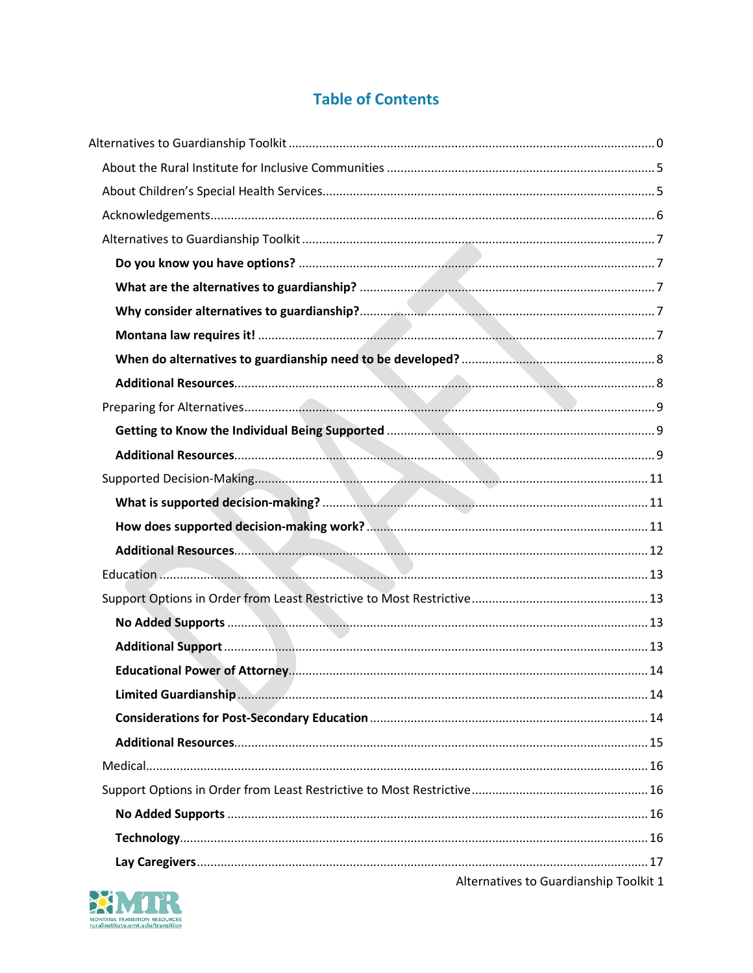# **Table of Contents**

| Alternatives to Guardianshin Toolkit 1 |  |
|----------------------------------------|--|

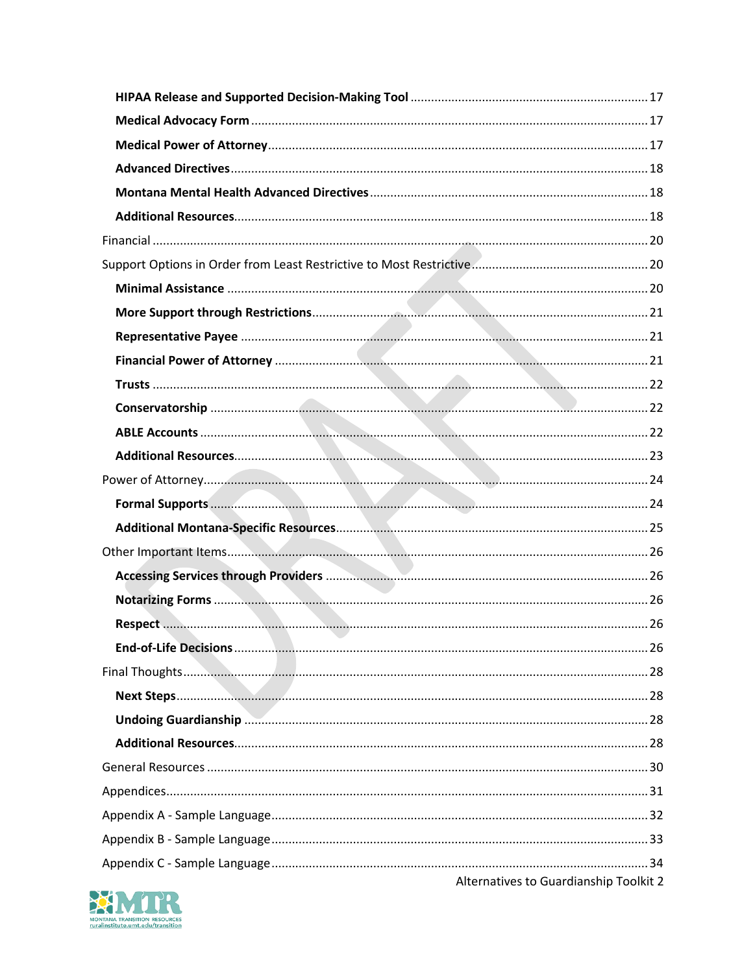| Alternatives to Guardianshin Toolkit 2 |
|----------------------------------------|



natives to Guardianship τe ι σς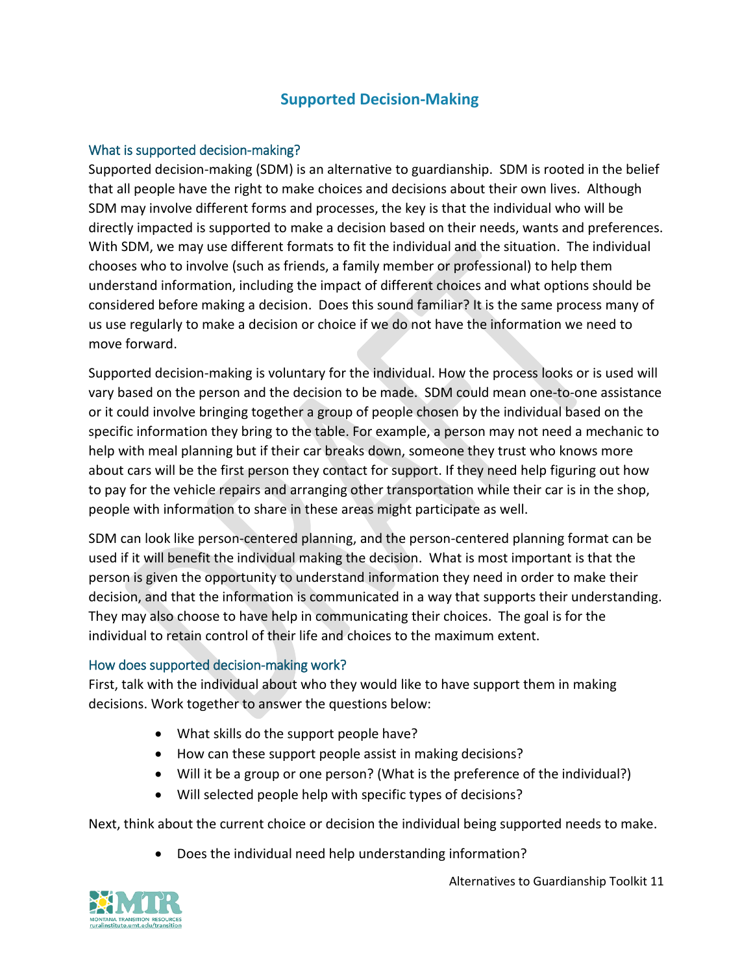## **Supported Decision-Making**

#### <span id="page-11-1"></span><span id="page-11-0"></span>What is supported decision-making?

Supported decision-making (SDM) is an alternative to guardianship. SDM is rooted in the belief that all people have the right to make choices and decisions about their own lives. Although SDM may involve different forms and processes, the key is that the individual who will be directly impacted is supported to make a decision based on their needs, wants and preferences. With SDM, we may use different formats to fit the individual and the situation. The individual chooses who to involve (such as friends, a family member or professional) to help them understand information, including the impact of different choices and what options should be considered before making a decision. Does this sound familiar? It is the same process many of us use regularly to make a decision or choice if we do not have the information we need to move forward.

Supported decision-making is voluntary for the individual. How the process looks or is used will vary based on the person and the decision to be made. SDM could mean one-to-one assistance or it could involve bringing together a group of people chosen by the individual based on the specific information they bring to the table. For example, a person may not need a mechanic to help with meal planning but if their car breaks down, someone they trust who knows more about cars will be the first person they contact for support. If they need help figuring out how to pay for the vehicle repairs and arranging other transportation while their car is in the shop, people with information to share in these areas might participate as well.

SDM can look like person-centered planning, and the person-centered planning format can be used if it will benefit the individual making the decision. What is most important is that the person is given the opportunity to understand information they need in order to make their decision, and that the information is communicated in a way that supports their understanding. They may also choose to have help in communicating their choices. The goal is for the individual to retain control of their life and choices to the maximum extent.

#### <span id="page-11-2"></span>How does supported decision-making work?

First, talk with the individual about who they would like to have support them in making decisions. Work together to answer the questions below:

- What skills do the support people have?
- How can these support people assist in making decisions?
- Will it be a group or one person? (What is the preference of the individual?)
- Will selected people help with specific types of decisions?

Next, think about the current choice or decision the individual being supported needs to make.

• Does the individual need help understanding information?

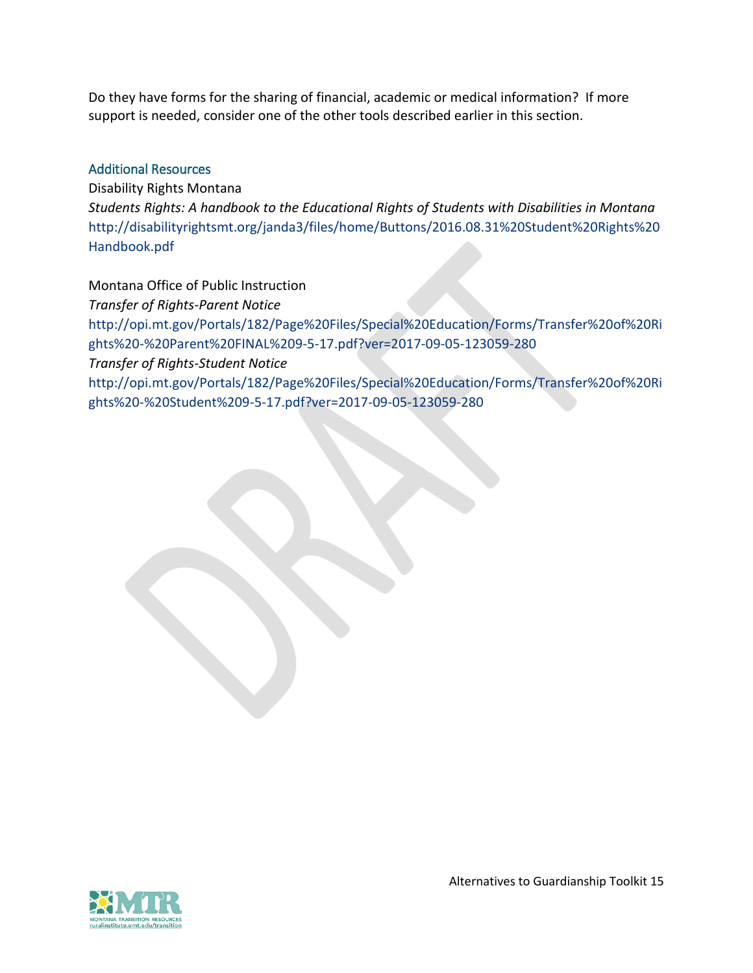| Montana Mental Health Advanced Directives (1990) (1990) (1990) (1990) (1990) (1990) (1990) (1990) (1990) (199 |  |  |
|---------------------------------------------------------------------------------------------------------------|--|--|
|                                                                                                               |  |  |
|                                                                                                               |  |  |
|                                                                                                               |  |  |
|                                                                                                               |  |  |
|                                                                                                               |  |  |
|                                                                                                               |  |  |
|                                                                                                               |  |  |
|                                                                                                               |  |  |
|                                                                                                               |  |  |
|                                                                                                               |  |  |
|                                                                                                               |  |  |
|                                                                                                               |  |  |
|                                                                                                               |  |  |
|                                                                                                               |  |  |
|                                                                                                               |  |  |
|                                                                                                               |  |  |
|                                                                                                               |  |  |
|                                                                                                               |  |  |
|                                                                                                               |  |  |
|                                                                                                               |  |  |
|                                                                                                               |  |  |
|                                                                                                               |  |  |
|                                                                                                               |  |  |
|                                                                                                               |  |  |
|                                                                                                               |  |  |
|                                                                                                               |  |  |
|                                                                                                               |  |  |
|                                                                                                               |  |  |
| Alternatives to Guardianshin Toolkit 2                                                                        |  |  |



natives to Guardianship τe ι σς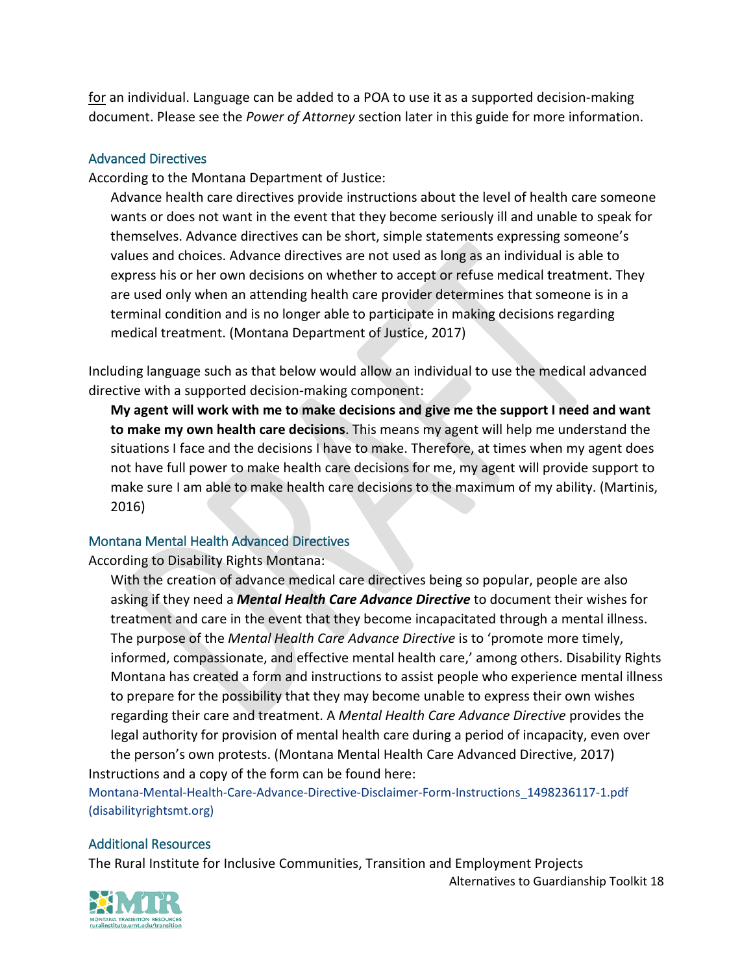# **Table of Contents**

| Montana law reuires it                                                                                                                                                                                                         |  |
|--------------------------------------------------------------------------------------------------------------------------------------------------------------------------------------------------------------------------------|--|
|                                                                                                                                                                                                                                |  |
|                                                                                                                                                                                                                                |  |
|                                                                                                                                                                                                                                |  |
|                                                                                                                                                                                                                                |  |
|                                                                                                                                                                                                                                |  |
|                                                                                                                                                                                                                                |  |
|                                                                                                                                                                                                                                |  |
|                                                                                                                                                                                                                                |  |
|                                                                                                                                                                                                                                |  |
|                                                                                                                                                                                                                                |  |
|                                                                                                                                                                                                                                |  |
|                                                                                                                                                                                                                                |  |
| Additional Support manufactured and the contract of the contract of the contract of the contract of the contract of the contract of the contract of the contract of the contract of the contract of the contract of the contra |  |
|                                                                                                                                                                                                                                |  |
|                                                                                                                                                                                                                                |  |
|                                                                                                                                                                                                                                |  |
|                                                                                                                                                                                                                                |  |
|                                                                                                                                                                                                                                |  |
|                                                                                                                                                                                                                                |  |
|                                                                                                                                                                                                                                |  |
|                                                                                                                                                                                                                                |  |
|                                                                                                                                                                                                                                |  |
| Alternatives to Guardianshin Toolkit 1                                                                                                                                                                                         |  |

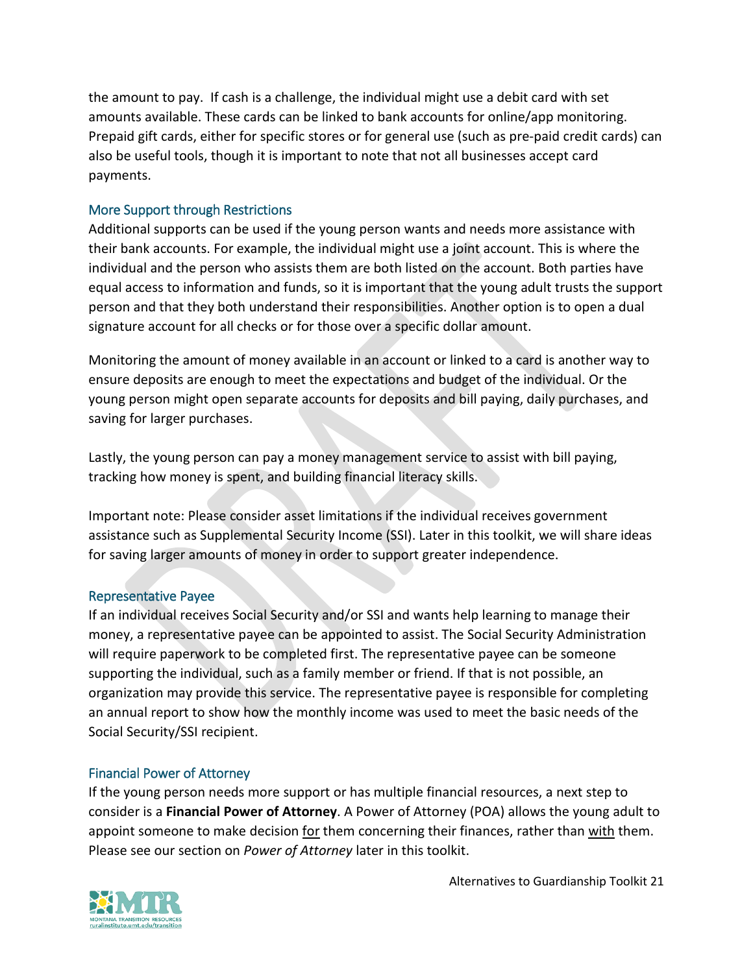the amount to pay. If cash is a challenge, the individual might use a debit card with set amounts available. These cards can be linked to bank accounts for online/app monitoring. Prepaid gift cards, either for specific stores or for general use (such as pre-paid credit cards) can also be useful tools, though it is important to note that not all businesses accept card payments.

#### <span id="page-21-0"></span>More Support through Restrictions

Additional supports can be used if the young person wants and needs more assistance with their bank accounts. For example, the individual might use a joint account. This is where the individual and the person who assists them are both listed on the account. Both parties have equal access to information and funds, so it is important that the young adult trusts the support person and that they both understand their responsibilities. Another option is to open a dual signature account for all checks or for those over a specific dollar amount.

Monitoring the amount of money available in an account or linked to a card is another way to ensure deposits are enough to meet the expectations and budget of the individual. Or the young person might open separate accounts for deposits and bill paying, daily purchases, and saving for larger purchases.

Lastly, the young person can pay a money management service to assist with bill paying, tracking how money is spent, and building financial literacy skills.

Important note: Please consider asset limitations if the individual receives government assistance such as Supplemental Security Income (SSI). Later in this toolkit, we will share ideas for saving larger amounts of money in order to support greater independence.

#### <span id="page-21-1"></span>Representative Payee

If an individual receives Social Security and/or SSI and wants help learning to manage their money, a representative payee can be appointed to assist. The Social Security Administration will require paperwork to be completed first. The representative payee can be someone supporting the individual, such as a family member or friend. If that is not possible, an organization may provide this service. The representative payee is responsible for completing an annual report to show how the monthly income was used to meet the basic needs of the Social Security/SSI recipient.

#### <span id="page-21-2"></span>Financial Power of Attorney

If the young person needs more support or has multiple financial resources, a next step to consider is a **Financial Power of Attorney**. A Power of Attorney (POA) allows the young adult to appoint someone to make decision for them concerning their finances, rather than with them. Please see our section on *Power of Attorney* later in this toolkit.

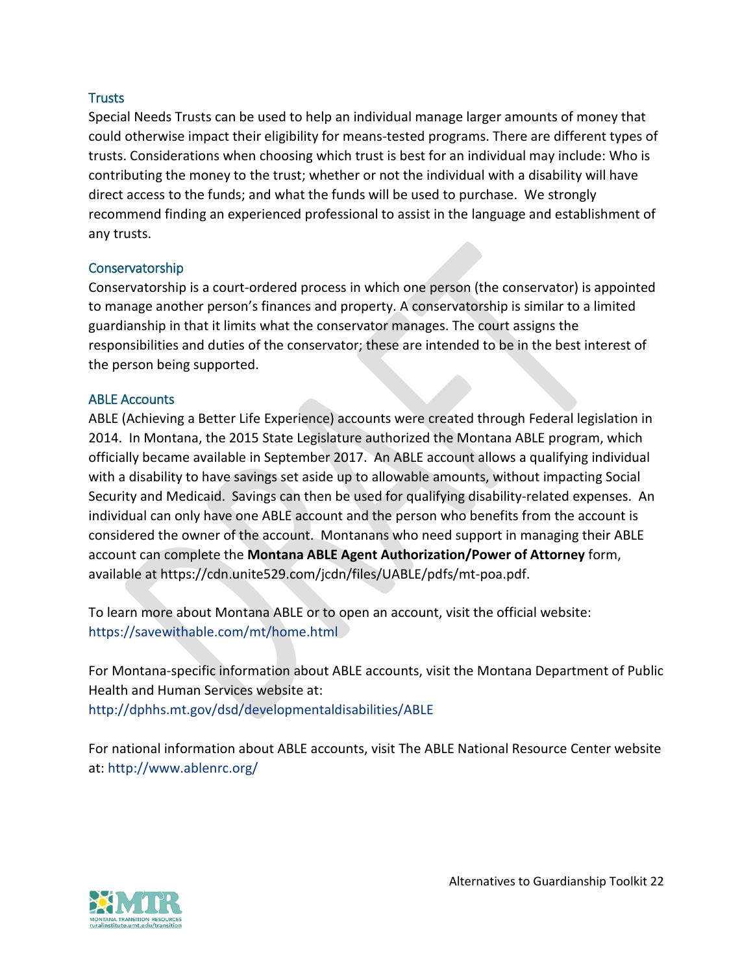#### <span id="page-22-0"></span>**Trusts**

Special Needs Trusts can be used to help an individual manage larger amounts of money that could otherwise impact their eligibility for means-tested programs. There are different types of trusts. Considerations when choosing which trust is best for an individual may include: Who is contributing the money to the trust; whether or not the individual with a disability will have direct access to the funds; and what the funds will be used to purchase. We strongly recommend finding an experienced professional to assist in the language and establishment of any trusts.

#### <span id="page-22-1"></span>Conservatorship

Conservatorship is a court-ordered process in which one person (the conservator) is appointed to manage another person's finances and property. A conservatorship is similar to a limited guardianship in that it limits what the conservator manages. The court assigns the responsibilities and duties of the conservator; these are intended to be in the best interest of the person being supported.

#### <span id="page-22-2"></span>ABLE Accounts

ABLE (Achieving a Better Life Experience) accounts were created through Federal legislation in 2014. In Montana, the 2015 State Legislature authorized the Montana ABLE program, which officially became available in September 2017. An ABLE account allows a qualifying individual with a disability to have savings set aside up to allowable amounts, without impacting Social Security and Medicaid. Savings can then be used for qualifying disability-related expenses. An individual can only have one ABLE account and the person who benefits from the account is considered the owner of the account. Montanans who need support in managing their ABLE account can complete the **Montana ABLE Agent Authorization/Power of Attorney** form, available at https://cdn.unite529.com/jcdn/files/UABLE/pdfs/mt-poa.pdf.

To learn more about Montana ABLE or to open an account, visit the official website: <https://savewithable.com/mt/home.html>

For Montana-specific information about ABLE accounts, visit the Montana Department of Public Health and Human Services website at: <http://dphhs.mt.gov/dsd/developmentaldisabilities/ABLE>

For national information about ABLE accounts, visit The ABLE National Resource Center website at[: http://www.ablenrc.org/](http://www.ablenrc.org/)

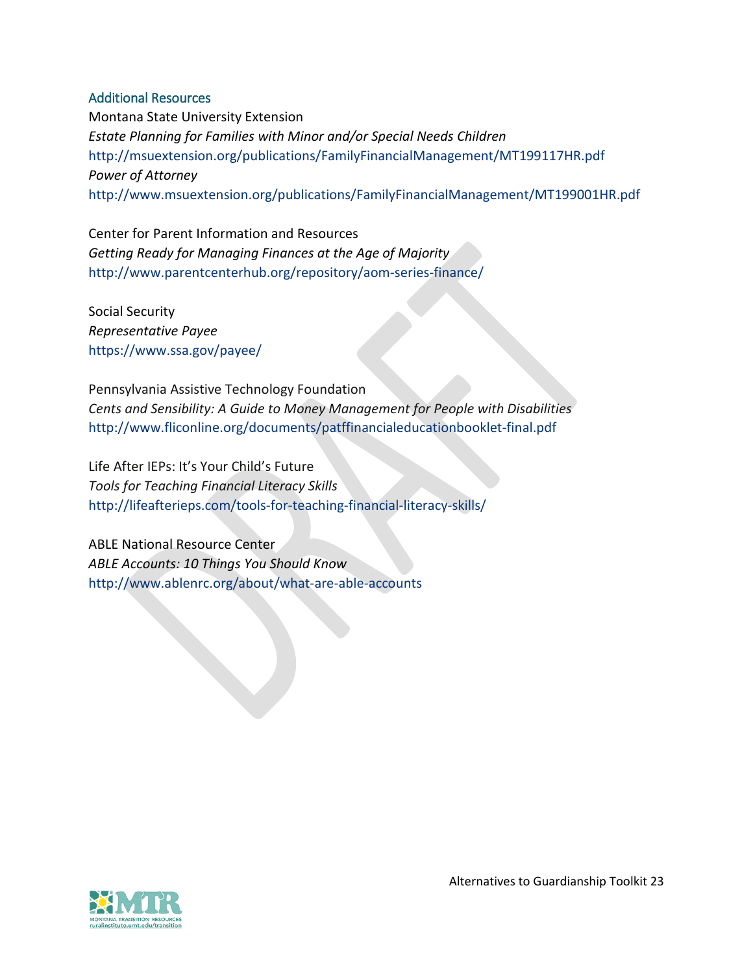#### <span id="page-23-0"></span>Additional Resources

Montana State University Extension *Estate Planning for Families with Minor and/or Special Needs Children* <http://msuextension.org/publications/FamilyFinancialManagement/MT199117HR.pdf> *Power of Attorney* <http://www.msuextension.org/publications/FamilyFinancialManagement/MT199001HR.pdf>

Center for Parent Information and Resources *Getting Ready for Managing Finances at the Age of Majority*  <http://www.parentcenterhub.org/repository/aom-series-finance/>

Social Security *Representative Payee*  <https://www.ssa.gov/payee/>

Pennsylvania Assistive Technology Foundation *Cents and Sensibility: A Guide to Money Management for People with Disabilities* <http://www.fliconline.org/documents/patffinancialeducationbooklet-final.pdf>

Life After IEPs: It's Your Child's Future *Tools for Teaching Financial Literacy Skills* <http://lifeafterieps.com/tools-for-teaching-financial-literacy-skills/>

ABLE National Resource Center *ABLE Accounts: 10 Things You Should Know* <http://www.ablenrc.org/about/what-are-able-accounts>

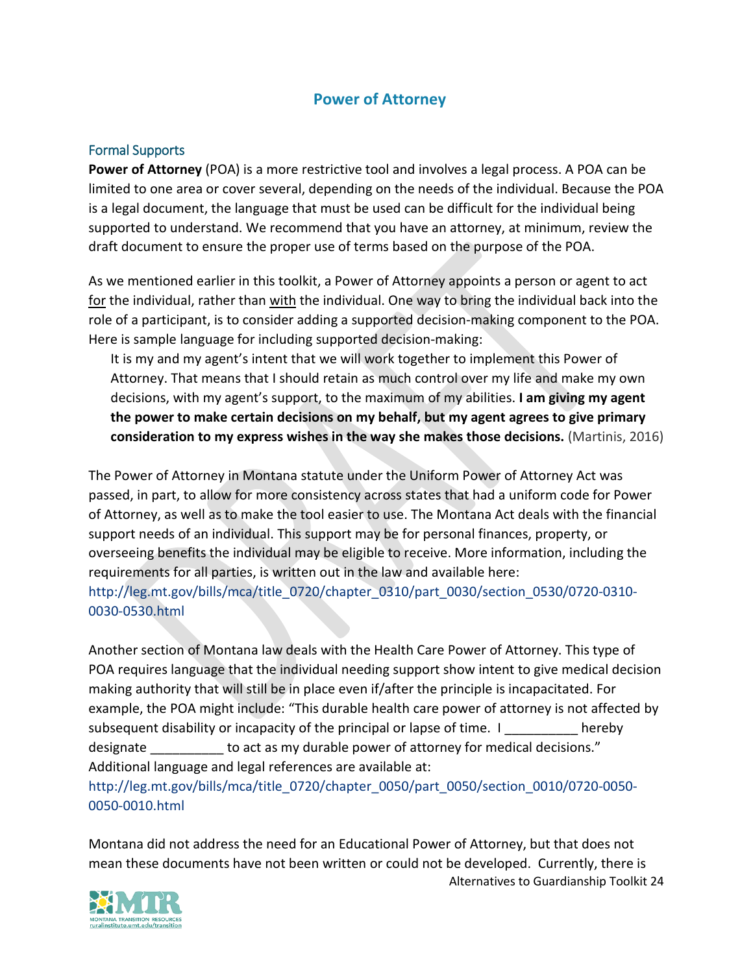### **Power of Attorney**

#### <span id="page-24-1"></span><span id="page-24-0"></span>Formal Supports

**Power of Attorney** (POA) is a more restrictive tool and involves a legal process. A POA can be limited to one area or cover several, depending on the needs of the individual. Because the POA is a legal document, the language that must be used can be difficult for the individual being supported to understand. We recommend that you have an attorney, at minimum, review the draft document to ensure the proper use of terms based on the purpose of the POA.

As we mentioned earlier in this toolkit, a Power of Attorney appoints a person or agent to act for the individual, rather than with the individual. One way to bring the individual back into the role of a participant, is to consider adding a supported decision-making component to the POA. Here is sample language for including supported decision-making:

It is my and my agent's intent that we will work together to implement this Power of Attorney. That means that I should retain as much control over my life and make my own decisions, with my agent's support, to the maximum of my abilities. **I am giving my agent the power to make certain decisions on my behalf, but my agent agrees to give primary consideration to my express wishes in the way she makes those decisions.** (Martinis, 2016)

The Power of Attorney in Montana statute under the Uniform Power of Attorney Act was passed, in part, to allow for more consistency across states that had a uniform code for Power of Attorney, as well as to make the tool easier to use. The Montana Act deals with the financial support needs of an individual. This support may be for personal finances, property, or overseeing benefits the individual may be eligible to receive. More information, including the requirements for all parties, is written out in the law and available here: [http://leg.mt.gov/bills/mca/title\\_0720/chapter\\_0310/part\\_0030/section\\_0530/0720-0310-](http://leg.mt.gov/bills/mca/title_0720/chapter_0310/part_0030/section_0530/0720-0310-0030-0530.html) [0030-0530.html](http://leg.mt.gov/bills/mca/title_0720/chapter_0310/part_0030/section_0530/0720-0310-0030-0530.html) 

Another section of Montana law deals with the Health Care Power of Attorney. This type of POA requires language that the individual needing support show intent to give medical decision making authority that will still be in place even if/after the principle is incapacitated. For example, the POA might include: "This durable health care power of attorney is not affected by subsequent disability or incapacity of the principal or lapse of time. I can be hereby designate **the actable of act** as my durable power of attorney for medical decisions." Additional language and legal references are available at: [http://leg.mt.gov/bills/mca/title\\_0720/chapter\\_0050/part\\_0050/section\\_0010/0720-0050-](http://leg.mt.gov/bills/mca/title_0720/chapter_0050/part_0050/section_0010/0720-0050-0050-0010.html)

[0050-0010.html](http://leg.mt.gov/bills/mca/title_0720/chapter_0050/part_0050/section_0010/0720-0050-0050-0010.html) 

Alternatives to Guardianship Toolkit 24 Montana did not address the need for an Educational Power of Attorney, but that does not mean these documents have not been written or could not be developed. Currently, there is

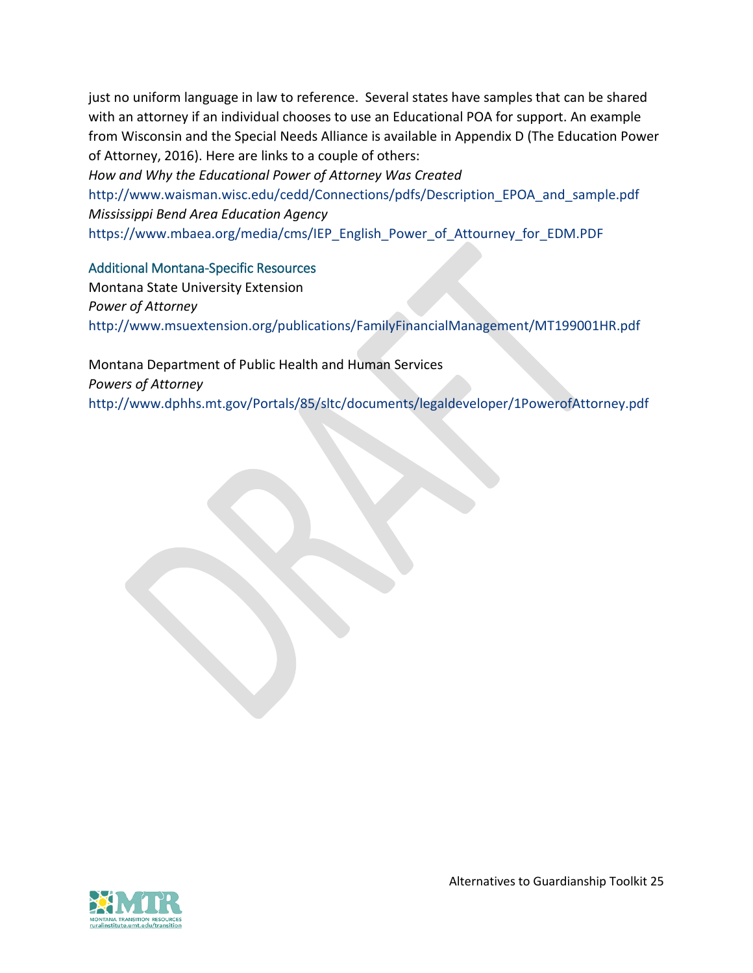just no uniform language in law to reference. Several states have samples that can be shared with an attorney if an individual chooses to use an Educational POA for support. An example from Wisconsin and the Special Needs Alliance is available in Appendix D (The Education Power of Attorney, 2016). Here are links to a couple of others:

*How and Why the Educational Power of Attorney Was Created* [http://www.waisman.wisc.edu/cedd/Connections/pdfs/Description\\_EPOA\\_and\\_sample.pdf](http://www.waisman.wisc.edu/cedd/Connections/pdfs/Description_EPOA_and_sample.pdf)  *Mississippi Bend Area Education Agency* [https://www.mbaea.org/media/cms/IEP\\_English\\_Power\\_of\\_Attourney\\_for\\_EDM.PDF](https://www.mbaea.org/media/cms/IEP_English_Power_of_Attourney_for_EDM.PDF)

#### <span id="page-25-0"></span>Additional Montana-Specific Resources

Montana State University Extension *Power of Attorney* <http://www.msuextension.org/publications/FamilyFinancialManagement/MT199001HR.pdf>

Montana Department of Public Health and Human Services *Powers of Attorney* <http://www.dphhs.mt.gov/Portals/85/sltc/documents/legaldeveloper/1PowerofAttorney.pdf>

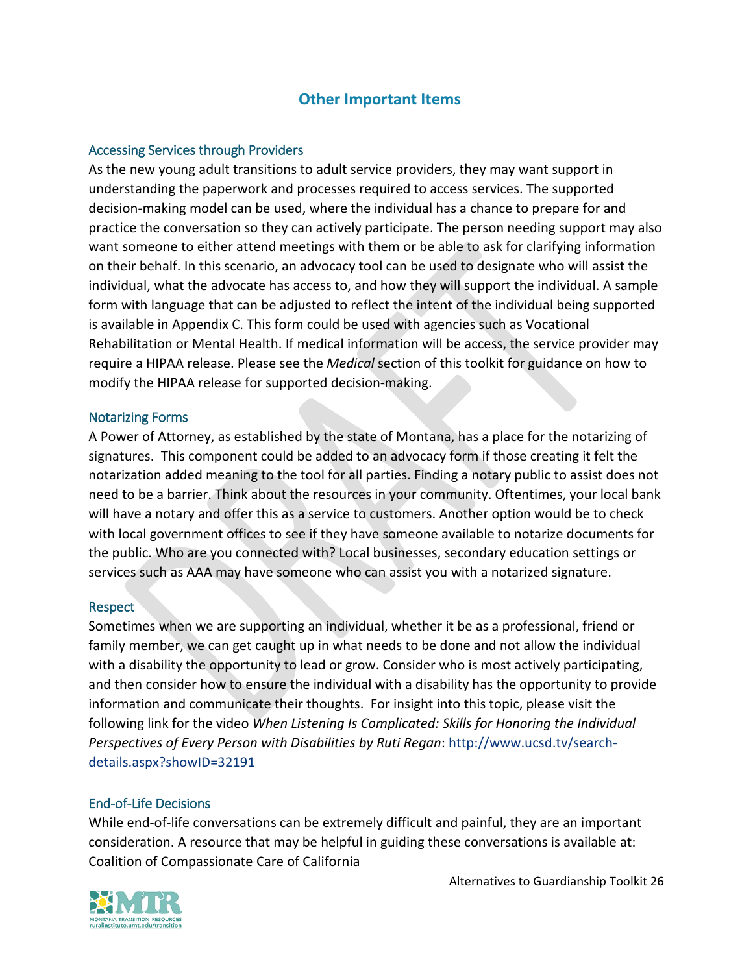### **Other Important Items**

#### <span id="page-26-1"></span><span id="page-26-0"></span>Accessing Services through Providers

As the new young adult transitions to adult service providers, they may want support in understanding the paperwork and processes required to access services. The supported decision-making model can be used, where the individual has a chance to prepare for and practice the conversation so they can actively participate. The person needing support may also want someone to either attend meetings with them or be able to ask for clarifying information on their behalf. In this scenario, an advocacy tool can be used to designate who will assist the individual, what the advocate has access to, and how they will support the individual. A sample form with language that can be adjusted to reflect the intent of the individual being supported is available in Appendix C. This form could be used with agencies such as Vocational Rehabilitation or Mental Health. If medical information will be access, the service provider may require a HIPAA release. Please see the *Medical* section of this toolkit for guidance on how to modify the HIPAA release for supported decision-making.

#### <span id="page-26-2"></span>Notarizing Forms

A Power of Attorney, as established by the state of Montana, has a place for the notarizing of signatures. This component could be added to an advocacy form if those creating it felt the notarization added meaning to the tool for all parties. Finding a notary public to assist does not need to be a barrier. Think about the resources in your community. Oftentimes, your local bank will have a notary and offer this as a service to customers. Another option would be to check with local government offices to see if they have someone available to notarize documents for the public. Who are you connected with? Local businesses, secondary education settings or services such as AAA may have someone who can assist you with a notarized signature.

#### <span id="page-26-3"></span>**Respect**

Sometimes when we are supporting an individual, whether it be as a professional, friend or family member, we can get caught up in what needs to be done and not allow the individual with a disability the opportunity to lead or grow. Consider who is most actively participating, and then consider how to ensure the individual with a disability has the opportunity to provide information and communicate their thoughts. For insight into this topic, please visit the following link for the video *When Listening Is Complicated: Skills for Honoring the Individual Perspectives of Every Person with Disabilities by Ruti Regan*: [http://www.ucsd.tv/search](http://www.ucsd.tv/search-details.aspx?showID=32191)[details.aspx?showID=32191](http://www.ucsd.tv/search-details.aspx?showID=32191) 

#### <span id="page-26-4"></span>End-of-Life Decisions

While end-of-life conversations can be extremely difficult and painful, they are an important consideration. A resource that may be helpful in guiding these conversations is available at: Coalition of Compassionate Care of California

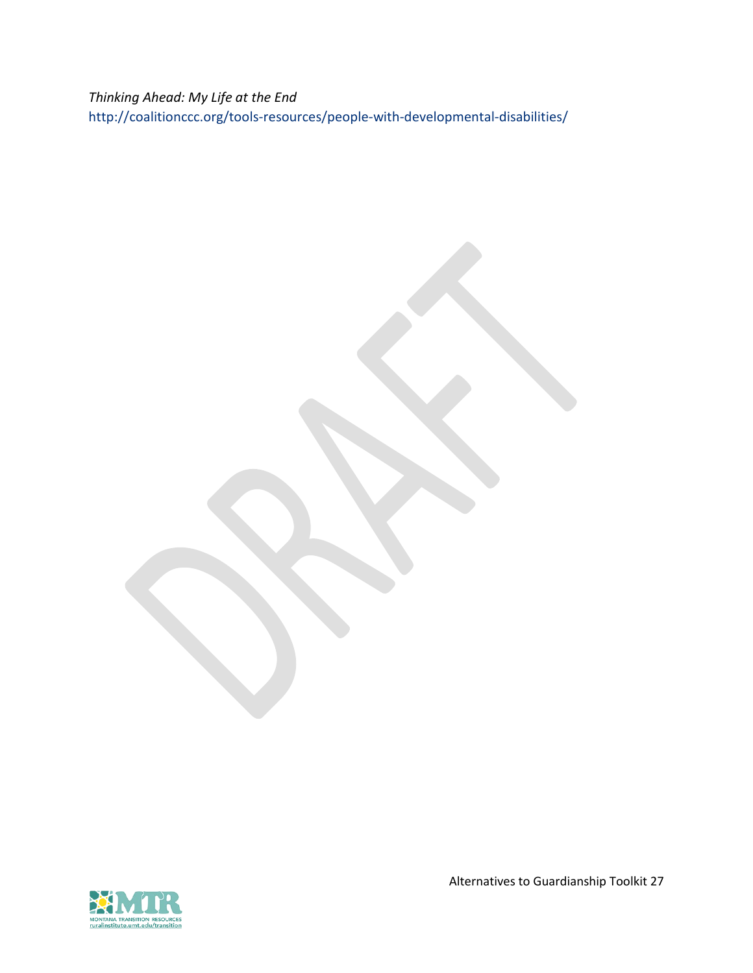*Thinking Ahead: My Life at the End* <http://coalitionccc.org/tools-resources/people-with-developmental-disabilities/>

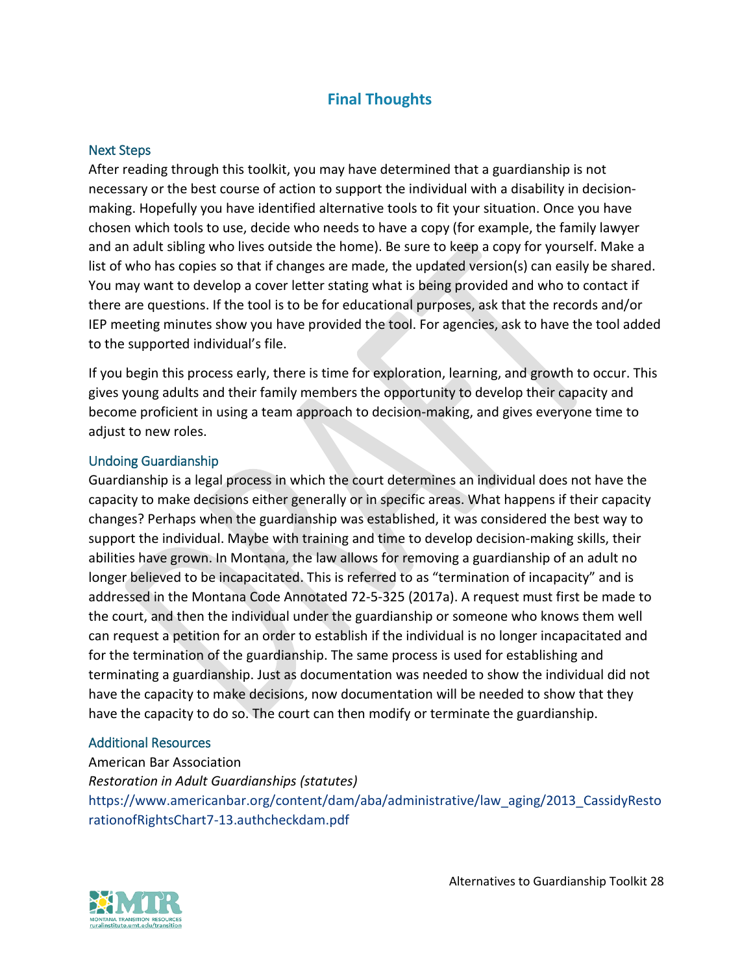## **Final Thoughts**

#### <span id="page-28-1"></span><span id="page-28-0"></span>Next Steps

After reading through this toolkit, you may have determined that a guardianship is not necessary or the best course of action to support the individual with a disability in decisionmaking. Hopefully you have identified alternative tools to fit your situation. Once you have chosen which tools to use, decide who needs to have a copy (for example, the family lawyer and an adult sibling who lives outside the home). Be sure to keep a copy for yourself. Make a list of who has copies so that if changes are made, the updated version(s) can easily be shared. You may want to develop a cover letter stating what is being provided and who to contact if there are questions. If the tool is to be for educational purposes, ask that the records and/or IEP meeting minutes show you have provided the tool. For agencies, ask to have the tool added to the supported individual's file.

If you begin this process early, there is time for exploration, learning, and growth to occur. This gives young adults and their family members the opportunity to develop their capacity and become proficient in using a team approach to decision-making, and gives everyone time to adjust to new roles.

#### <span id="page-28-2"></span>Undoing Guardianship

Guardianship is a legal process in which the court determines an individual does not have the capacity to make decisions either generally or in specific areas. What happens if their capacity changes? Perhaps when the guardianship was established, it was considered the best way to support the individual. Maybe with training and time to develop decision-making skills, their abilities have grown. In Montana, the law allows for removing a guardianship of an adult no longer believed to be incapacitated. This is referred to as "termination of incapacity" and is addressed in the Montana Code Annotated 72-5-325 (2017a). A request must first be made to the court, and then the individual under the guardianship or someone who knows them well can request a petition for an order to establish if the individual is no longer incapacitated and for the termination of the guardianship. The same process is used for establishing and terminating a guardianship. Just as documentation was needed to show the individual did not have the capacity to make decisions, now documentation will be needed to show that they have the capacity to do so. The court can then modify or terminate the guardianship.

#### <span id="page-28-3"></span>Additional Resources

American Bar Association *Restoration in Adult Guardianships (statutes)* [https://www.americanbar.org/content/dam/aba/administrative/law\\_aging/2013\\_CassidyResto](https://www.americanbar.org/content/dam/aba/administrative/law_aging/2013_CassidyRestorationofRightsChart7-13.authcheckdam.pdf) [rationofRightsChart7-13.authcheckdam.pdf](https://www.americanbar.org/content/dam/aba/administrative/law_aging/2013_CassidyRestorationofRightsChart7-13.authcheckdam.pdf) 

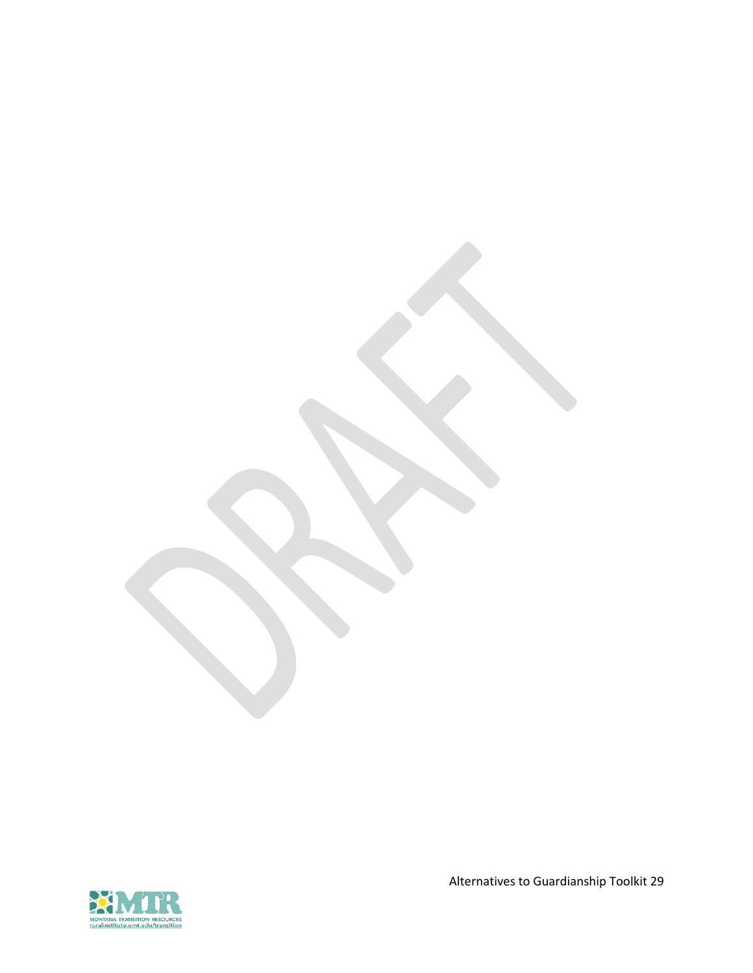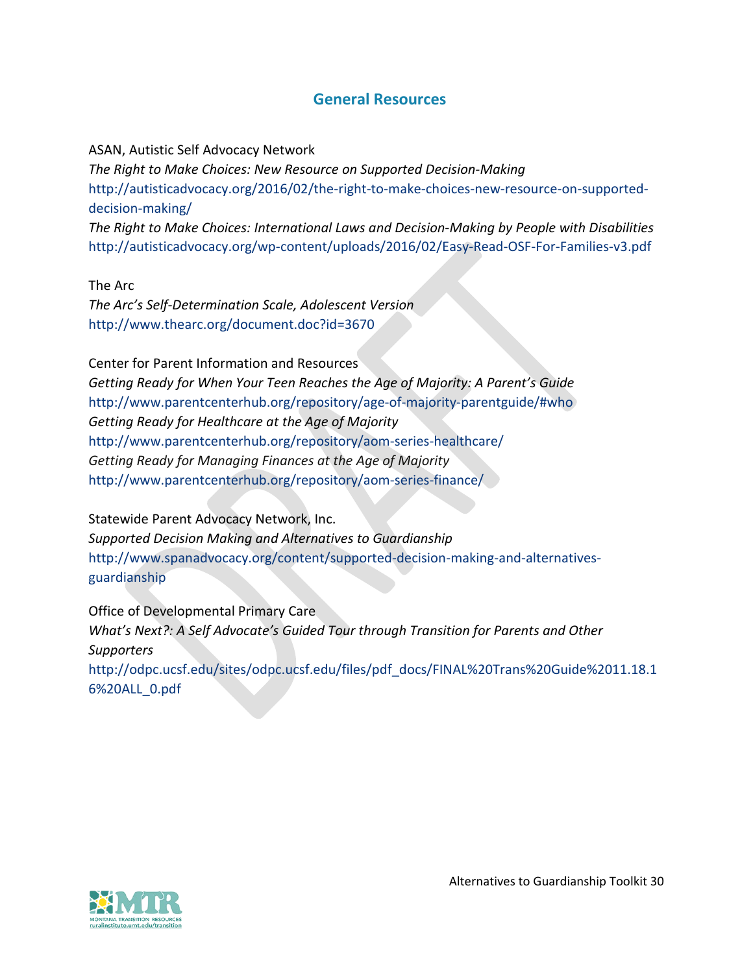### **General Resources**

<span id="page-30-0"></span>ASAN, Autistic Self Advocacy Network

*The Right to Make Choices: New Resource on Supported Decision-Making* [http://autisticadvocacy.org/2016/02/the-right-to-make-choices-new-resource-on-supported](http://autisticadvocacy.org/2016/02/the-right-to-make-choices-new-resource-on-supported-decision-making/)[decision-making/](http://autisticadvocacy.org/2016/02/the-right-to-make-choices-new-resource-on-supported-decision-making/) 

*[The Right to Make Choices: International Laws and Decision-Making by People with Disabilities](http://autisticadvocacy.org/wp-content/uploads/2016/02/Easy-Read-OSF-For-Families-v3.pdf)* <http://autisticadvocacy.org/wp-content/uploads/2016/02/Easy-Read-OSF-For-Families-v3.pdf>

The Arc

*The Arc's Self-Determination Scale, Adolescent Version* <http://www.thearc.org/document.doc?id=3670>

Center for Parent Information and Resources *Getting Ready for When Your Teen Reaches the Age of Majority: A Parent's Guide* <http://www.parentcenterhub.org/repository/age-of-majority-parentguide/#who> *Getting Ready for Healthcare at the Age of Majority*  <http://www.parentcenterhub.org/repository/aom-series-healthcare/> *Getting Ready for Managing Finances at the Age of Majority* <http://www.parentcenterhub.org/repository/aom-series-finance/>

Statewide Parent Advocacy Network, Inc. *Supported Decision Making and Alternatives to Guardianship* [http://www.spanadvocacy.org/content/supported-decision-making-and-alternatives](http://www.spanadvocacy.org/content/supported-decision-making-and-alternatives-guardianship)[guardianship](http://www.spanadvocacy.org/content/supported-decision-making-and-alternatives-guardianship)

Office of Developmental Primary Care *What's Next?: A Self Advocate's Guided Tour through Transition for Parents and Other Supporters* [http://odpc.ucsf.edu/sites/odpc.ucsf.edu/files/pdf\\_docs/FINAL%20Trans%20Guide%2011.18.1](http://odpc.ucsf.edu/sites/odpc.ucsf.edu/files/pdf_docs/FINAL%20Trans%20Guide%2011.18.16%20ALL_0.pdf) [6%20ALL\\_0.pdf](http://odpc.ucsf.edu/sites/odpc.ucsf.edu/files/pdf_docs/FINAL%20Trans%20Guide%2011.18.16%20ALL_0.pdf)

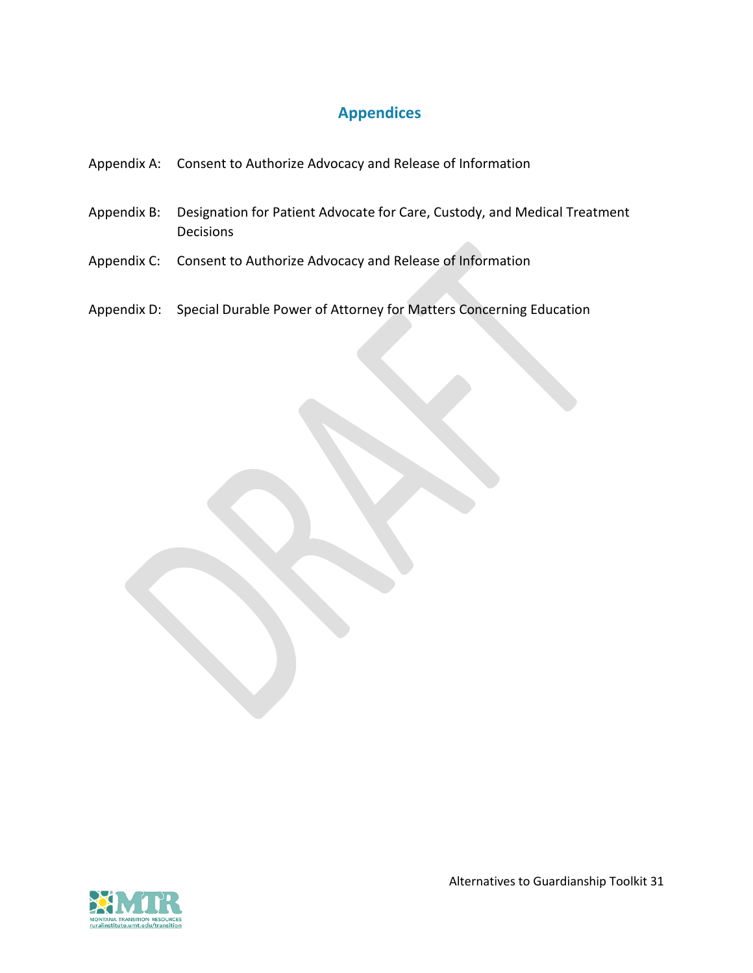## **Appendices**

- <span id="page-31-0"></span>Appendix A: Consent to Authorize Advocacy and Release of Information
- Appendix B: Designation for Patient Advocate for Care, Custody, and Medical Treatment Decisions
- Appendix C: Consent to Authorize Advocacy and Release of Information
- Appendix D: Special Durable Power of Attorney for Matters Concerning Education

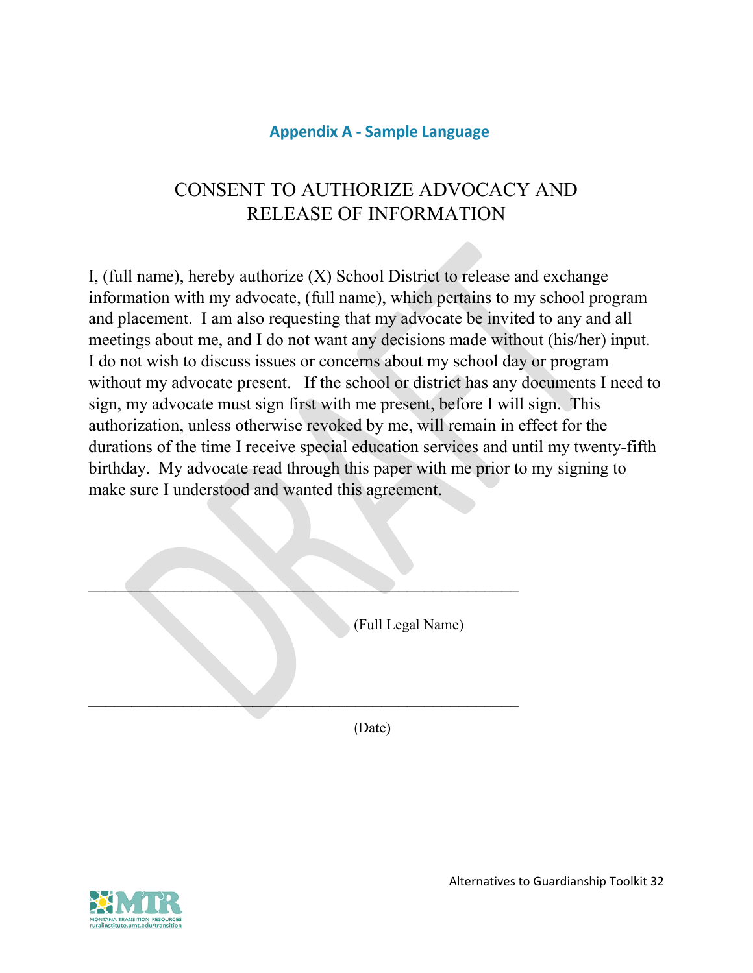## **Appendix A - Sample Language**

# <span id="page-32-0"></span>CONSENT TO AUTHORIZE ADVOCACY AND RELEASE OF INFORMATION

I, (full name), hereby authorize (X) School District to release and exchange information with my advocate, (full name), which pertains to my school program and placement. I am also requesting that my advocate be invited to any and all meetings about me, and I do not want any decisions made without (his/her) input. I do not wish to discuss issues or concerns about my school day or program without my advocate present. If the school or district has any documents I need to sign, my advocate must sign first with me present, before I will sign. This authorization, unless otherwise revoked by me, will remain in effect for the durations of the time I receive special education services and until my twenty-fifth birthday. My advocate read through this paper with me prior to my signing to make sure I understood and wanted this agreement.

(Full Legal Name)

(Date)

 $\mathcal{L}_\mathcal{L} = \mathcal{L}_\mathcal{L} = \mathcal{L}_\mathcal{L} = \mathcal{L}_\mathcal{L} = \mathcal{L}_\mathcal{L} = \mathcal{L}_\mathcal{L} = \mathcal{L}_\mathcal{L} = \mathcal{L}_\mathcal{L} = \mathcal{L}_\mathcal{L} = \mathcal{L}_\mathcal{L} = \mathcal{L}_\mathcal{L} = \mathcal{L}_\mathcal{L} = \mathcal{L}_\mathcal{L} = \mathcal{L}_\mathcal{L} = \mathcal{L}_\mathcal{L} = \mathcal{L}_\mathcal{L} = \mathcal{L}_\mathcal{L}$ 

 $\mathcal{L}_\text{max}$  and  $\mathcal{L}_\text{max}$  and  $\mathcal{L}_\text{max}$  and  $\mathcal{L}_\text{max}$  and  $\mathcal{L}_\text{max}$ 

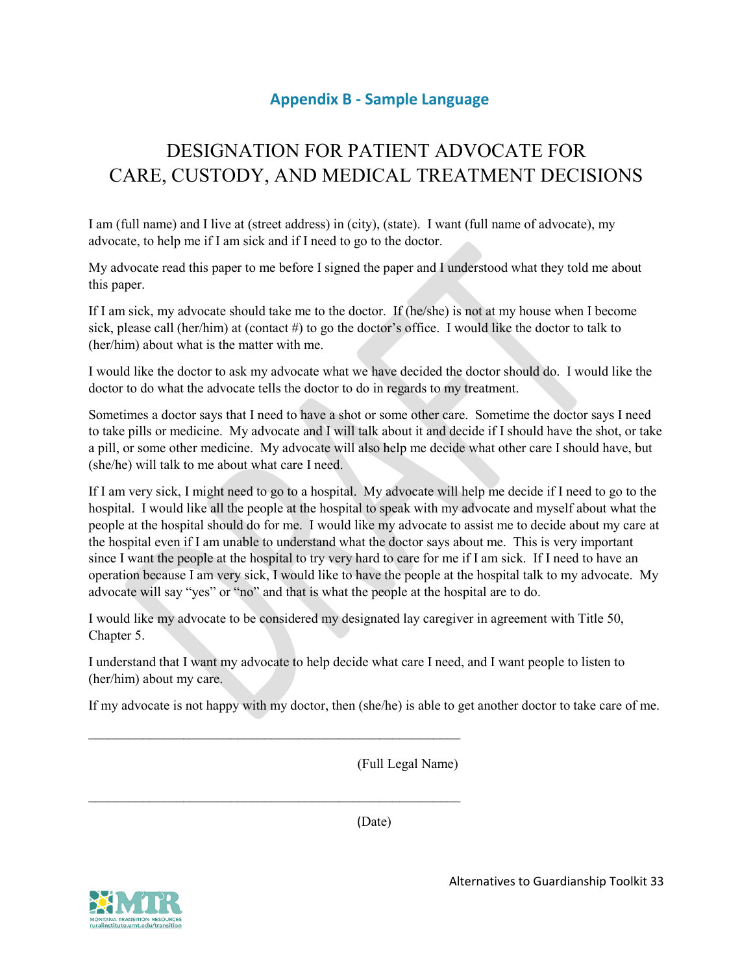## **Appendix B - Sample Language**

# <span id="page-33-0"></span>DESIGNATION FOR PATIENT ADVOCATE FOR CARE, CUSTODY, AND MEDICAL TREATMENT DECISIONS

I am (full name) and I live at (street address) in (city), (state). I want (full name of advocate), my advocate, to help me if I am sick and if I need to go to the doctor.

My advocate read this paper to me before I signed the paper and I understood what they told me about this paper.

If I am sick, my advocate should take me to the doctor. If (he/she) is not at my house when I become sick, please call (her/him) at (contact #) to go the doctor's office. I would like the doctor to talk to (her/him) about what is the matter with me.

I would like the doctor to ask my advocate what we have decided the doctor should do. I would like the doctor to do what the advocate tells the doctor to do in regards to my treatment.

Sometimes a doctor says that I need to have a shot or some other care. Sometime the doctor says I need to take pills or medicine. My advocate and I will talk about it and decide if I should have the shot, or take a pill, or some other medicine. My advocate will also help me decide what other care I should have, but (she/he) will talk to me about what care I need.

If I am very sick, I might need to go to a hospital. My advocate will help me decide if I need to go to the hospital. I would like all the people at the hospital to speak with my advocate and myself about what the people at the hospital should do for me. I would like my advocate to assist me to decide about my care at the hospital even if I am unable to understand what the doctor says about me. This is very important since I want the people at the hospital to try very hard to care for me if I am sick. If I need to have an operation because I am very sick, I would like to have the people at the hospital talk to my advocate. My advocate will say "yes" or "no" and that is what the people at the hospital are to do.

I would like my advocate to be considered my designated lay caregiver in agreement with Title 50, Chapter 5.

I understand that I want my advocate to help decide what care I need, and I want people to listen to (her/him) about my care.

 $\mathcal{L}_\text{max}$  , and the contract of the contract of the contract of the contract of the contract of the contract of the contract of the contract of the contract of the contract of the contract of the contract of the contr

\_\_\_\_\_\_\_\_\_\_\_\_\_\_\_\_\_\_\_\_\_\_\_\_\_\_\_\_\_\_\_\_\_\_\_\_\_\_\_\_\_\_\_\_\_\_\_\_\_\_\_\_\_\_\_

If my advocate is not happy with my doctor, then (she/he) is able to get another doctor to take care of me.

(Full Legal Name)

(Date)

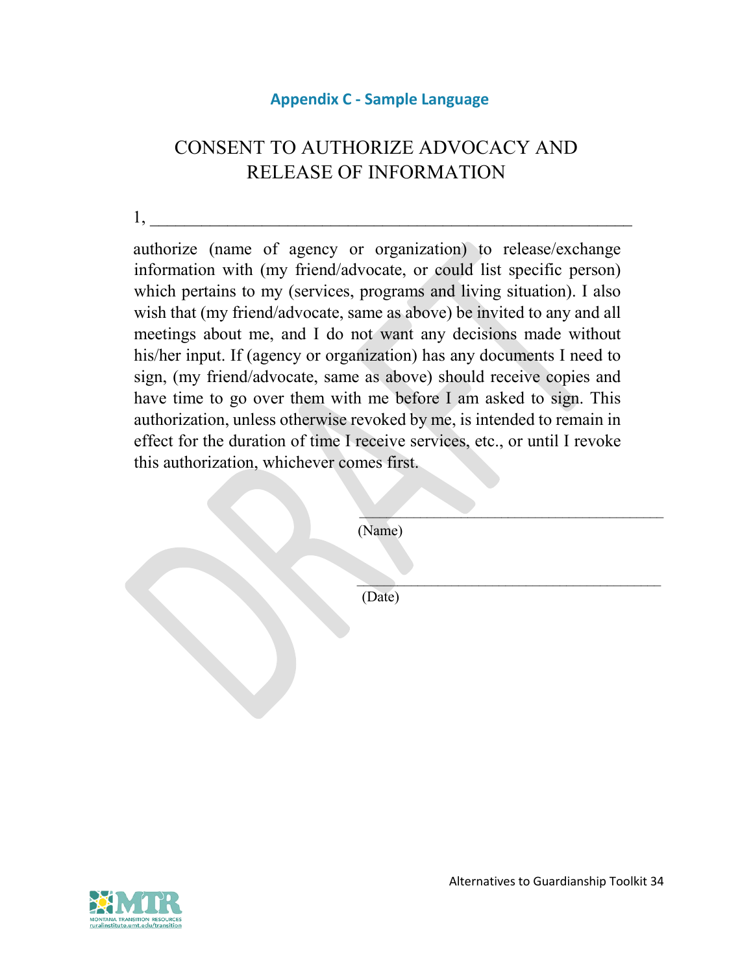## **Appendix C - Sample Language**

# <span id="page-34-0"></span>CONSENT TO AUTHORIZE ADVOCACY AND RELEASE OF INFORMATION

 $1,$ 

authorize (name of agency or organization) to release/exchange information with (my friend/advocate, or could list specific person) which pertains to my (services, programs and living situation). I also wish that (my friend/advocate, same as above) be invited to any and all meetings about me, and I do not want any decisions made without his/her input. If (agency or organization) has any documents I need to sign, (my friend/advocate, same as above) should receive copies and have time to go over them with me before I am asked to sign. This authorization, unless otherwise revoked by me, is intended to remain in effect for the duration of time I receive services, etc., or until I revoke this authorization, whichever comes first.

| (Name) |
|--------|
| (Date) |
|        |

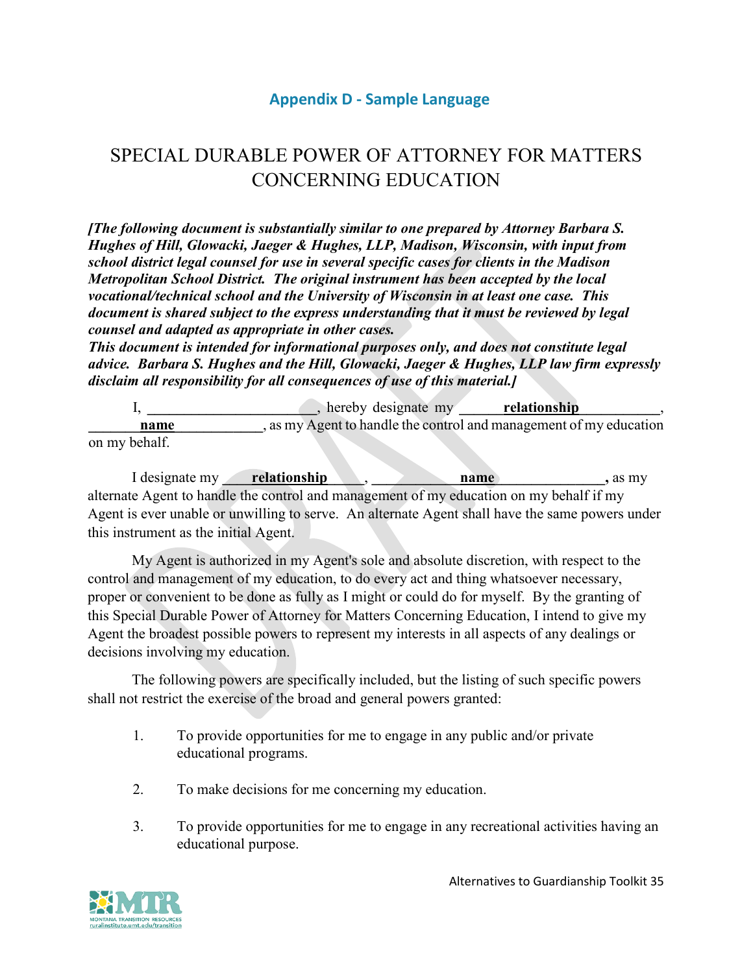# SPECIAL DURABLE POWER OF ATTORNEY FOR MATTERS CONCERNING EDUCATION

*[The following document is substantially similar to one prepared by Attorney Barbara S. Hughes of Hill, Glowacki, Jaeger & Hughes, LLP, Madison, Wisconsin, with input from school district legal counsel for use in several specific cases for clients in the Madison Metropolitan School District. The original instrument has been accepted by the local vocational/technical school and the University of Wisconsin in at least one case. This document is shared subject to the express understanding that it must be reviewed by legal counsel and adapted as appropriate in other cases.* 

*This document is intended for informational purposes only, and does not constitute legal advice. Barbara S. Hughes and the Hill, Glowacki, Jaeger & Hughes, LLP law firm expressly disclaim all responsibility for all consequences of use of this material.]*

I, **\_\_\_\_\_\_\_\_\_\_\_\_\_\_\_\_\_\_**, hereby designate my <u>\_\_\_\_\_\_relationship</u> **name**, as my Agent to handle the control and management of my education on my behalf.

I designate my **relationship**, **comparison**, as my alternate Agent to handle the control and management of my education on my behalf if my Agent is ever unable or unwilling to serve. An alternate Agent shall have the same powers under this instrument as the initial Agent.

My Agent is authorized in my Agent's sole and absolute discretion, with respect to the control and management of my education, to do every act and thing whatsoever necessary, proper or convenient to be done as fully as I might or could do for myself. By the granting of this Special Durable Power of Attorney for Matters Concerning Education, I intend to give my Agent the broadest possible powers to represent my interests in all aspects of any dealings or decisions involving my education.

The following powers are specifically included, but the listing of such specific powers shall not restrict the exercise of the broad and general powers granted:

- 1. To provide opportunities for me to engage in any public and/or private educational programs.
- 2. To make decisions for me concerning my education.
- 3. To provide opportunities for me to engage in any recreational activities having an educational purpose.

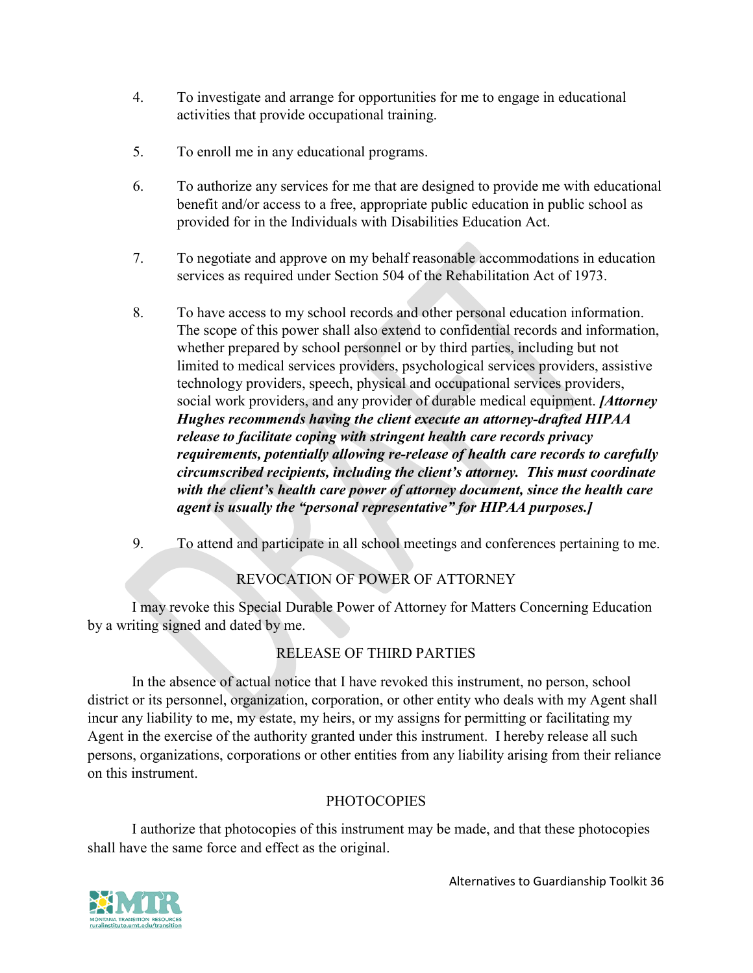- 4. To investigate and arrange for opportunities for me to engage in educational activities that provide occupational training.
- 5. To enroll me in any educational programs.
- 6. To authorize any services for me that are designed to provide me with educational benefit and/or access to a free, appropriate public education in public school as provided for in the Individuals with Disabilities Education Act.
- 7. To negotiate and approve on my behalf reasonable accommodations in education services as required under Section 504 of the Rehabilitation Act of 1973.
- 8. To have access to my school records and other personal education information. The scope of this power shall also extend to confidential records and information, whether prepared by school personnel or by third parties, including but not limited to medical services providers, psychological services providers, assistive technology providers, speech, physical and occupational services providers, social work providers, and any provider of durable medical equipment. *[Attorney Hughes recommends having the client execute an attorney-drafted HIPAA release to facilitate coping with stringent health care records privacy requirements, potentially allowing re-release of health care records to carefully circumscribed recipients, including the client's attorney. This must coordinate with the client's health care power of attorney document, since the health care agent is usually the "personal representative" for HIPAA purposes.]*
- 9. To attend and participate in all school meetings and conferences pertaining to me.

## REVOCATION OF POWER OF ATTORNEY

I may revoke this Special Durable Power of Attorney for Matters Concerning Education by a writing signed and dated by me.

### RELEASE OF THIRD PARTIES

In the absence of actual notice that I have revoked this instrument, no person, school district or its personnel, organization, corporation, or other entity who deals with my Agent shall incur any liability to me, my estate, my heirs, or my assigns for permitting or facilitating my Agent in the exercise of the authority granted under this instrument. I hereby release all such persons, organizations, corporations or other entities from any liability arising from their reliance on this instrument.

### **PHOTOCOPIES**

I authorize that photocopies of this instrument may be made, and that these photocopies shall have the same force and effect as the original.

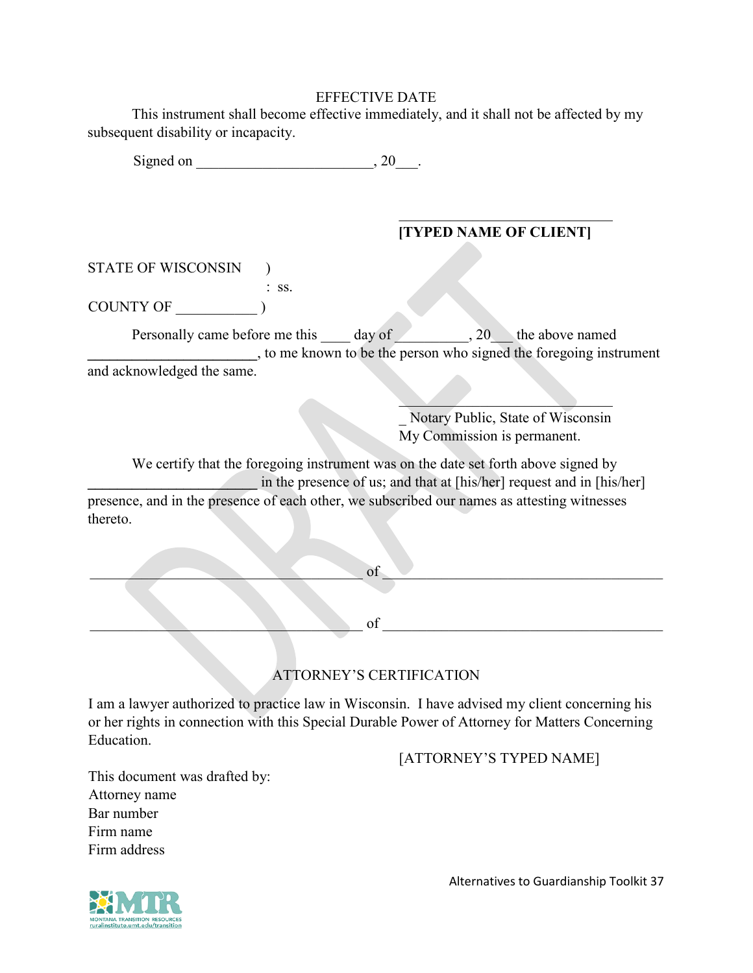#### EFFECTIVE DATE

This instrument shall become effective immediately, and it shall not be affected by my subsequent disability or incapacity.

Signed on  $\qquad \qquad .20 \qquad .$ 

#### **[TYPED NAME OF CLIENT]**

STATE OF WISCONSIN ) : ss. COUNTY OF  $\qquad \qquad$  )

Personally came before me this day of 20 the above named **\_\_\_\_\_\_\_\_\_\_\_\_\_\_\_\_\_\_\_\_\_\_\_**, to me known to be the person who signed the foregoing instrument and acknowledged the same.

> Notary Public, State of Wisconsin My Commission is permanent.

 $\mathcal{L}=\mathcal{L}^{\mathcal{L}}$ 

We certify that the foregoing instrument was on the date set forth above signed by in the presence of us; and that at [his/her] request and in [his/her] presence, and in the presence of each other, we subscribed our names as attesting witnesses thereto.

 $of$   $\overline{\phantom{a}}$  $of$   $\Box$ 

#### ATTORNEY'S CERTIFICATION

I am a lawyer authorized to practice law in Wisconsin. I have advised my client concerning his or her rights in connection with this Special Durable Power of Attorney for Matters Concerning Education.

#### [ATTORNEY'S TYPED NAME]

This document was drafted by: Attorney name Bar number Firm name Firm address